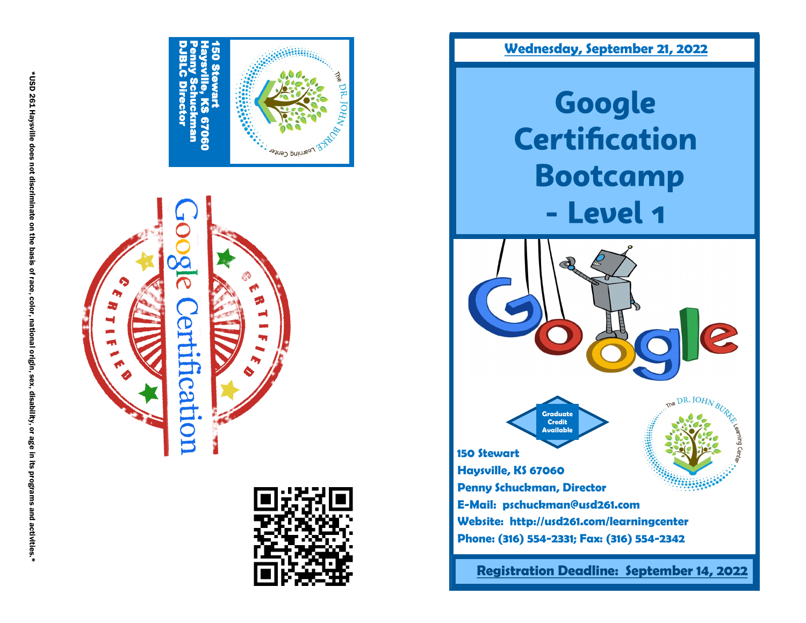





 **Wednesday, September 21, 2022**

Google **Certification Bootcamp** - Level 1



DR. JOHN BU

**Graduate Credit AvailableMariana 150 Stewart Haysville, KS 67060 Penny Schuckman, Director E-Mail: pschuckman@usd261.com Website: http://usd261.com/learningcenter Phone: (316) 554 -2331; Fax: (316) 554 -2342**

 **Registration Deadline: September 14, 2022**